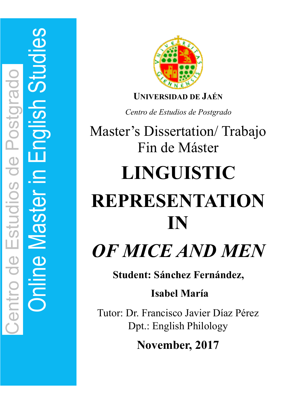

**UNIVERSIDAD DE JAÉN** 

*Centro de Estudios de Postgrado* 

Master's Dissertation/ Trabajo Fin de Máster

# **LINGUISTIC REPRESENTATION IN**

*OF MICE AND MEN*

**Student: Sánchez Fernández,**

# **Isabel María**

Tutor: Dr. Francisco Javier Díaz Pérez Dpt.: English Philology

**November, 2017**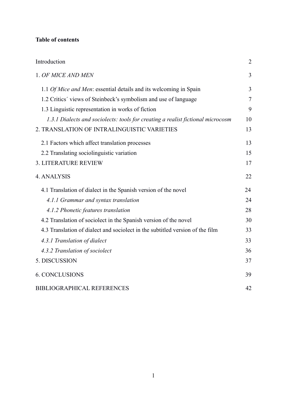# **Table of contents**

| Introduction                                                                    | 2              |
|---------------------------------------------------------------------------------|----------------|
| 1. OF MICE AND MEN                                                              | $\overline{3}$ |
| 1.1 Of Mice and Men: essential details and its welcoming in Spain               | 3              |
| 1.2 Critics' views of Steinbeck's symbolism and use of language                 | $\overline{7}$ |
| 1.3 Linguistic representation in works of fiction                               | 9              |
| 1.3.1 Dialects and sociolects: tools for creating a realist fictional microcosm | 10             |
| 2. TRANSLATION OF INTRALINGUISTIC VARIETIES                                     | 13             |
| 2.1 Factors which affect translation processes                                  | 13             |
| 2.2 Translating sociolinguistic variation                                       | 15             |
| <b>3. LITERATURE REVIEW</b>                                                     | 17             |
| 4. ANALYSIS                                                                     | 22             |
| 4.1 Translation of dialect in the Spanish version of the novel                  | 24             |
| 4.1.1 Grammar and syntax translation                                            | 24             |
| 4.1.2 Phonetic features translation                                             | 28             |
| 4.2 Translation of sociolect in the Spanish version of the novel                | 30             |
| 4.3 Translation of dialect and sociolect in the subtitled version of the film   | 33             |
| 4.3.1 Translation of dialect                                                    | 33             |
| 4.3.2 Translation of sociolect                                                  | 36             |
| 5. DISCUSSION                                                                   | 37             |
| <b>6. CONCLUSIONS</b>                                                           | 39             |
| <b>BIBLIOGRAPHICAL REFERENCES</b>                                               | 42             |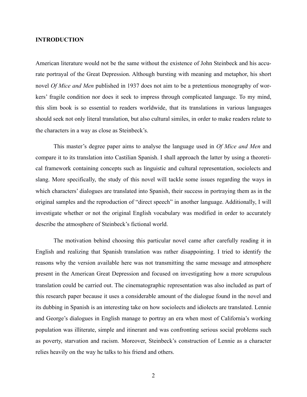#### **INTRODUCTION**

American literature would not be the same without the existence of John Steinbeck and his accurate portrayal of the Great Depression. Although bursting with meaning and metaphor, his short novel *Of Mice and Men* published in 1937 does not aim to be a pretentious monography of workers' fragile condition nor does it seek to impress through complicated language. To my mind, this slim book is so essential to readers worldwide, that its translations in various languages should seek not only literal translation, but also cultural similes, in order to make readers relate to the characters in a way as close as Steinbeck's.

This master's degree paper aims to analyse the language used in *Of Mice and Men* and compare it to its translation into Castilian Spanish. I shall approach the latter by using a theoretical framework containing concepts such as linguistic and cultural representation, sociolects and slang. More specifically, the study of this novel will tackle some issues regarding the ways in which characters' dialogues are translated into Spanish, their success in portraying them as in the original samples and the reproduction of "direct speech" in another language. Additionally, I will investigate whether or not the original English vocabulary was modified in order to accurately describe the atmosphere of Steinbeck's fictional world.

The motivation behind choosing this particular novel came after carefully reading it in English and realizing that Spanish translation was rather disappointing. I tried to identify the reasons why the version available here was not transmitting the same message and atmosphere present in the American Great Depression and focused on investigating how a more scrupulous translation could be carried out. The cinematographic representation was also included as part of this research paper because it uses a considerable amount of the dialogue found in the novel and its dubbing in Spanish is an interesting take on how sociolects and idiolects are translated. Lennie and George's dialogues in English manage to portray an era when most of California's working population was illiterate, simple and itinerant and was confronting serious social problems such as poverty, starvation and racism. Moreover, Steinbeck's construction of Lennie as a character relies heavily on the way he talks to his friend and others.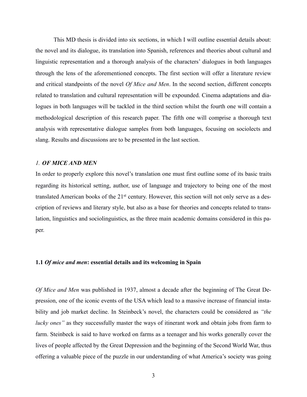This MD thesis is divided into six sections, in which I will outline essential details about: the novel and its dialogue, its translation into Spanish, references and theories about cultural and linguistic representation and a thorough analysis of the characters' dialogues in both languages through the lens of the aforementioned concepts. The first section will offer a literature review and critical standpoints of the novel *Of Mice and Men*. In the second section, different concepts related to translation and cultural representation will be expounded. Cinema adaptations and dialogues in both languages will be tackled in the third section whilst the fourth one will contain a methodological description of this research paper. The fifth one will comprise a thorough text analysis with representative dialogue samples from both languages, focusing on sociolects and slang. Results and discussions are to be presented in the last section.

#### *1. OF MICE AND MEN*

In order to properly explore this novel's translation one must first outline some of its basic traits regarding its historical setting, author, use of language and trajectory to being one of the most translated American books of the 21st century. However, this section will not only serve as a description of reviews and literary style, but also as a base for theories and concepts related to translation, linguistics and sociolinguistics, as the three main academic domains considered in this paper.

# **1.1** *Of mice and men***: essential details and its welcoming in Spain**

*Of Mice and Men* was published in 1937, almost a decade after the beginning of The Great Depression, one of the iconic events of the USA which lead to a massive increase of financial instability and job market decline. In Steinbeck's novel, the characters could be considered as *"the lucky ones"* as they successfully master the ways of itinerant work and obtain jobs from farm to farm. Steinbeck is said to have worked on farms as a teenager and his works generally cover the lives of people affected by the Great Depression and the beginning of the Second World War, thus offering a valuable piece of the puzzle in our understanding of what America's society was going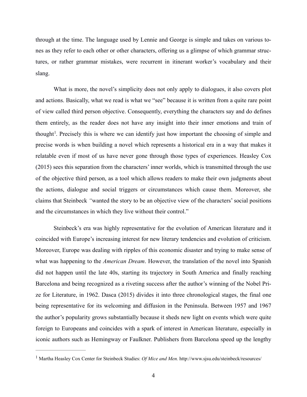through at the time. The language used by Lennie and George is simple and takes on various tones as they refer to each other or other characters, offering us a glimpse of which grammar structures, or rather grammar mistakes, were recurrent in itinerant worker's vocabulary and their slang.

<span id="page-4-1"></span>What is more, the novel's simplicity does not only apply to dialogues, it also covers plot and actions. Basically, what we read is what we "see" because it is written from a quite rare point of view called third person objective. Consequently, everything the characters say and do defines them entirely, as the reader does not have any insight into their inner emotions and train of thought<sup>1</sup>[.](#page-4-0) Precisely this is where we can identify just how important the choosing of simple and precise words is when building a novel which represents a historical era in a way that makes it relatable even if most of us have never gone through those types of experiences. Heasley Cox (2015) sees this separation from the characters' inner worlds, which is transmitted through the use of the objective third person, as a tool which allows readers to make their own judgments about the actions, dialogue and social triggers or circumstances which cause them. Moreover, she claims that Steinbeck *"*wanted the story to be an objective view of the characters' social positions and the circumstances in which they live without their control."

Steinbeck's era was highly representative for the evolution of American literature and it coincided with Europe's increasing interest for new literary tendencies and evolution of criticism. Moreover, Europe was dealing with ripples of this economic disaster and trying to make sense of what was happening to the *American Dream*. However, the translation of the novel into Spanish did not happen until the late 40s, starting its trajectory in South America and finally reaching Barcelona and being recognized as a riveting success after the author's winning of the Nobel Prize for Literature, in 1962. Dasca (2015) divides it into three chronological stages, the final one being representative for its welcoming and diffusion in the Peninsula. Between 1957 and 1967 the author's popularity grows substantially because it sheds new light on events which were quite foreign to Europeans and coincides with a spark of interest in American literature, especially in iconic authors such as Hemingway or Faulkner. Publishers from Barcelona speed up the lengthy

<span id="page-4-0"></span><sup>&</sup>lt;sup>[1](#page-4-1)</sup> Martha Heasley Cox Center for Steinbeck Studies: *Of Mice and Men.* http://www.sjsu.edu/steinbeck/resources/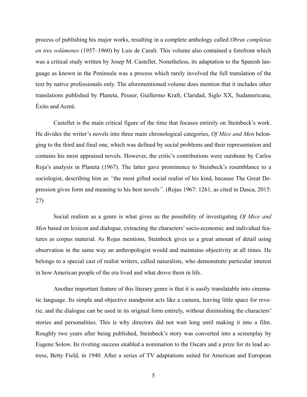process of publishing his major works, resulting in a complete anthology called *Obras completas en tres volúmenes* (1957–1960) by Luis de Caralt. This volume also contained a forefront which was a critical study written by Josep M. Castellet. Nonetheless, its adaptation to the Spanish language as known in the Peninsula was a process which rarely involved the full translation of the text by native professionals only. The aforementioned volume does mention that it includes other translations published by Planeta, Peuser, Guillermo Kraft, Claridad, Siglo XX, Sudamericana, Éxito and Acmé.

Castellet is the main critical figure of the time that focuses entirely on Steinbeck's work. He divides the writer's novels into three main chronological categories, *Of Mice and Men* belonging to the third and final one, which was defined by social problems and their representation and contains his most appraised novels. However, the critic's contributions were outshone by Carlos Roja's analysis in Planeta (1967). The latter gave prominence to Steinbeck's resemblance to a sociologist, describing him as *"*the most gifted social realist of his kind, because The Great Depression gives form and meaning to his best novels*".* (Rojas 1967: 1261, as cited in Dasca, 2015: 27)

Social realism as a genre is what gives us the possibility of investigating *Of Mice and Men* based on lexicon and dialogue, extracting the characters' socio-economic and individual features as corpus material. As Rojas mentions, Steinbeck gives us a great amount of detail using observation in the same way an anthropologist would and maintains objectivity at all times. He belongs to a special cast of realist writers, called naturalists, who demonstrate particular interest in how American people of the era lived and what drove them in life.

Another important feature of this literary genre is that it is easily translatable into cinematic language. Its simple and objective standpoint acts like a camera, leaving little space for reverie, and the dialogue can be used in its original form entirely, without diminishing the characters' stories and personalities. This is why directors did not wait long until making it into a film. Roughly two years after being published, Steinbeck's story was converted into a screenplay by Eugene Solow. Its riveting success enabled a nomination to the Oscars and a prize for its lead actress, Betty Field, in 1940. After a series of TV adaptations suited for American and European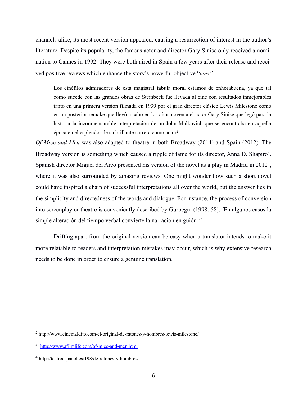channels alike, its most recent version appeared, causing a resurrection of interest in the author's literature. Despite its popularity, the famous actor and director Gary Sinise only received a nomination to Cannes in 1992. They were both aired in Spain a few years after their release and received positive reviews which enhance the story's powerful objective "*lens":*

<span id="page-6-5"></span><span id="page-6-4"></span><span id="page-6-3"></span>Los cinéfilos admiradores de esta magistral fábula moral estamos de enhorabuena, ya que tal como sucede con las grandes obras de Steinbeck fue llevada al cine con resultados inmejorables tanto en una primera versión filmada en 1939 por el gran director clásico Lewis Milestone como en un posterior remake que llevó a cabo en los años noventa el actor Gary Sinise que legó para la historia la inconmensurable interpretación de un John Malkovich que se encontraba en aquella época en el esplendor de su brillante carrera como actor<sup>[2](#page-6-0)</sup>.

*Of Mice and Men* was also adapted to theatre in both Broadway (2014) and Spain (2012). The Broadway version is something which caused a ripple of fame for its director, Anna D. Shapiro<sup>[3](#page-6-1)</sup>. Spanish director Miguel del Arco presented his version of the novel as a play in Madrid in  $2012<sup>4</sup>$  $2012<sup>4</sup>$  $2012<sup>4</sup>$ , where it was also surrounded by amazing reviews. One might wonder how such a short novel could have inspired a chain of successful interpretations all over the world, but the answer lies in the simplicity and directedness of the words and dialogue. For instance, the process of conversion into screenplay or theatre is conveniently described by Gurpegui (1998: 58):*"*En algunos casos la simple alteración del tiempo verbal convierte la narración en guión*."*

Drifting apart from the original version can be easy when a translator intends to make it more relatable to readers and interpretation mistakes may occur, which is why extensive research needs to be done in order to ensure a genuine translation.

<span id="page-6-0"></span> $h<sup>2</sup>$  $h<sup>2</sup>$  $h<sup>2</sup>$  http://www.cinemaldito.com/el-original-de-ratones-y-hombres-lewis-milestone/

<span id="page-6-1"></span> $\frac{3 \text{ http://www.afilmlife.com/of-mice-and-men.html}}{3}$  $\frac{3 \text{ http://www.afilmlife.com/of-mice-and-men.html}}{3}$  $\frac{3 \text{ http://www.afilmlife.com/of-mice-and-men.html}}{3}$  $\frac{3 \text{ http://www.afilmlife.com/of-mice-and-men.html}}{3}$  $\frac{3 \text{ http://www.afilmlife.com/of-mice-and-men.html}}{3}$ 

<span id="page-6-2"></span>http://teatroespanol.es/198/de-ratones-y-hombres/ [4](#page-6-5)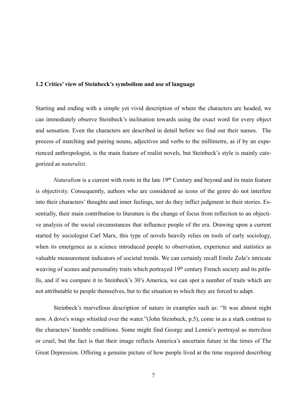#### **1.2 Critics' view of Steinbeck's symbolism and use of language**

Starting and ending with a simple yet vivid description of where the characters are headed, we can immediately observe Steinbeck's inclination towards using the exact word for every object and sensation. Even the characters are described in detail before we find out their names. The process of matching and pairing nouns, adjectives and verbs to the millimetre, as if by an experienced anthropologist, is the main feature of realist novels, but Steinbeck's style is mainly categorized as *naturalist*.

*Naturalism* is a current with roots in the late 19<sup>th</sup> Century and beyond and its main feature is objectivity. Consequently, authors who are considered as icons of the genre do not interfere into their characters' thoughts and inner feelings, nor do they inflict judgment in their stories. Essentially, their main contribution to literature is the change of focus from reflection to an objective analysis of the social circumstances that influence people of the era. Drawing upon a current started by sociologist Carl Marx, this type of novels heavily relies on tools of early sociology, when its emergence as a science introduced people to observation, experience and statistics as valuable measurement indicators of societal trends. We can certainly recall Emile Zola's intricate weaving of scenes and personality traits which portrayed 19<sup>th</sup> century French society and its pitfalls, and if we compare it to Steinbeck's 30's America, we can spot a number of traits which are not attributable to people themselves, but to the situation to which they are forced to adapt.

Steinbeck's marvellous description of nature in examples such as: "It was almost night now. A dove's wings whistled over the water."(John Steinbeck, p.5), come in as a stark contrast to the characters' humble conditions. Some might find George and Lennie's portrayal as merciless or cruel, but the fact is that their image reflects America's uncertain future in the times of The Great Depression. Offering a genuine picture of how people lived at the time required describing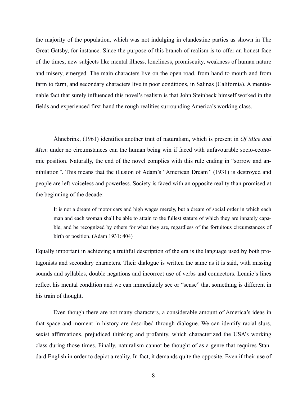the majority of the population, which was not indulging in clandestine parties as shown in The Great Gatsby, for instance. Since the purpose of this branch of realism is to offer an honest face of the times, new subjects like mental illness, loneliness, promiscuity, weakness of human nature and misery, emerged. The main characters live on the open road, from hand to mouth and from farm to farm, and secondary characters live in poor conditions, in Salinas (California). A mentionable fact that surely influenced this novel's realism is that John Steinbeck himself worked in the fields and experienced first-hand the rough realities surrounding America's working class.

Åhnebrink, (1961) identifies another trait of naturalism, which is present in *Of Mice and Men*: under no circumstances can the human being win if faced with unfavourable socio-economic position. Naturally, the end of the novel complies with this rule ending in "sorrow and annihilation*".* This means that the illusion of Adam's "American Dream*"* (1931) is destroyed and people are left voiceless and powerless. Society is faced with an opposite reality than promised at the beginning of the decade:

It is not a dream of motor cars and high wages merely, but a dream of social order in which each man and each woman shall be able to attain to the fullest stature of which they are innately capable, and be recognized by others for what they are, regardless of the fortuitous circumstances of birth or position. (Adam 1931: 404)

Equally important in achieving a truthful description of the era is the language used by both protagonists and secondary characters. Their dialogue is written the same as it is said, with missing sounds and syllables, double negations and incorrect use of verbs and connectors. Lennie's lines reflect his mental condition and we can immediately see or "sense" that something is different in his train of thought.

 Even though there are not many characters, a considerable amount of America's ideas in that space and moment in history are described through dialogue. We can identify racial slurs, sexist affirmations, prejudiced thinking and profanity, which characterized the USA's working class during those times. Finally, naturalism cannot be thought of as a genre that requires Standard English in order to depict a reality. In fact, it demands quite the opposite. Even if their use of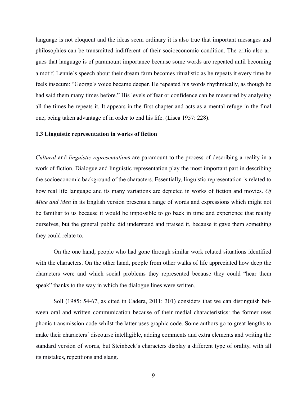language is not eloquent and the ideas seem ordinary it is also true that important messages and philosophies can be transmitted indifferent of their socioeconomic condition. The critic also argues that language is of paramount importance because some words are repeated until becoming a motif. Lennie´s speech about their dream farm becomes ritualistic as he repeats it every time he feels insecure: "George´s voice became deeper. He repeated his words rhythmically, as though he had said them many times before." His levels of fear or confidence can be measured by analysing all the times he repeats it. It appears in the first chapter and acts as a mental refuge in the final one, being taken advantage of in order to end his life. (Lisca 1957: 228).

#### **1.3 Linguistic representation in works of fiction**

*Cultural* and *linguistic representation*s are paramount to the process of describing a reality in a work of fiction. Dialogue and linguistic representation play the most important part in describing the socioeconomic background of the characters. Essentially, linguistic representation is related to how real life language and its many variations are depicted in works of fiction and movies. *Of Mice and Men* in its English version presents a range of words and expressions which might not be familiar to us because it would be impossible to go back in time and experience that reality ourselves, but the general public did understand and praised it, because it gave them something they could relate to.

On the one hand, people who had gone through similar work related situations identified with the characters. On the other hand, people from other walks of life appreciated how deep the characters were and which social problems they represented because they could "hear them speak" thanks to the way in which the dialogue lines were written.

Soll (1985: 54-67, as cited in Cadera, 2011: 301) considers that we can distinguish between oral and written communication because of their medial characteristics: the former uses phonic transmission code whilst the latter uses graphic code. Some authors go to great lengths to make their characters´ discourse intelligible, adding comments and extra elements and writing the standard version of words, but Steinbeck´s characters display a different type of orality, with all its mistakes, repetitions and slang.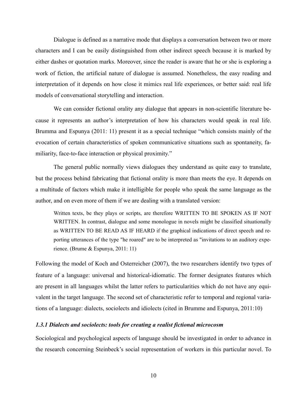Dialogue is defined as a narrative mode that displays a conversation between two or more characters and I can be easily distinguished from other indirect speech because it is marked by either dashes or quotation marks. Moreover, since the reader is aware that he or she is exploring a work of fiction, the artificial nature of dialogue is assumed. Nonetheless, the easy reading and interpretation of it depends on how close it mimics real life experiences, or better said: real life models of conversational storytelling and interaction.

We can consider fictional orality any dialogue that appears in non-scientific literature because it represents an author's interpretation of how his characters would speak in real life. Brumma and Espunya (2011: 11) present it as a special technique "which consists mainly of the evocation of certain characteristics of spoken communicative situations such as spontaneity, familiarity, face-to-face interaction or physical proximity."

The general public normally views dialogues they understand as quite easy to translate, but the process behind fabricating that fictional orality is more than meets the eye. It depends on a multitude of factors which make it intelligible for people who speak the same language as the author, and on even more of them if we are dealing with a translated version:

Written texts, be they plays or scripts, are therefore WRITTEN TO BE SPOKEN AS IF NOT WRITTEN. In contrast, dialogue and some monologue in novels might be classified situationally as WRITTEN TO BE READ AS IF HEARD if the graphical indications of direct speech and reporting utterances of the type "he roared" are to be interpreted as "invitations to an auditory experience. (Brume & Espunya, 2011: 11)

Following the model of Koch and Osterreicher (2007), the two researchers identify two types of feature of a language: universal and historical-idiomatic. The former designates features which are present in all languages whilst the latter refers to particularities which do not have any equivalent in the target language. The second set of characteristic refer to temporal and regional variations of a language: dialects, sociolects and idiolects (cited in Brumme and Espunya, 2011:10)

# *1.3.1 Dialects and sociolects: tools for creating a realist fictional microcosm*

Sociological and psychological aspects of language should be investigated in order to advance in the research concerning Steinbeck's social representation of workers in this particular novel. To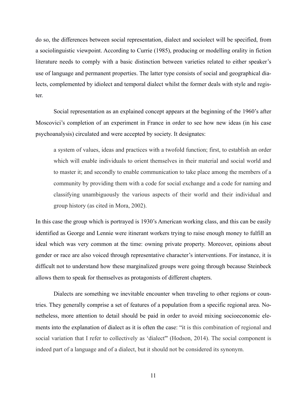do so, the differences between social representation, dialect and sociolect will be specified, from a sociolinguistic viewpoint. According to Currie (1985), producing or modelling orality in fiction literature needs to comply with a basic distinction between varieties related to either speaker's use of language and permanent properties. The latter type consists of social and geographical dialects, complemented by idiolect and temporal dialect whilst the former deals with style and register.

Social representation as an explained concept appears at the beginning of the 1960's after Moscovici's completion of an experiment in France in order to see how new ideas (in his case psychoanalysis) circulated and were accepted by society. It designates:

a system of values, ideas and practices with a twofold function; first, to establish an order which will enable individuals to orient themselves in their material and social world and to master it; and secondly to enable communication to take place among the members of a community by providing them with a code for social exchange and a code for naming and classifying unambiguously the various aspects of their world and their individual and group history (as cited in Mora, 2002).

In this case the group which is portrayed is 1930's American working class, and this can be easily identified as George and Lennie were itinerant workers trying to raise enough money to fulfill an ideal which was very common at the time: owning private property. Moreover, opinions about gender or race are also voiced through representative character's interventions. For instance, it is difficult not to understand how these marginalized groups were going through because Steinbeck allows them to speak for themselves as protagonists of different chapters.

Dialects are something we inevitable encounter when traveling to other regions or countries. They generally comprise a set of features of a population from a specific regional area. Nonetheless, more attention to detail should be paid in order to avoid mixing socioeconomic elements into the explanation of dialect as it is often the case: "it is this combination of regional and social variation that I refer to collectively as 'dialect'" (Hodson, 2014). The social component is indeed part of a language and of a dialect, but it should not be considered its synonym.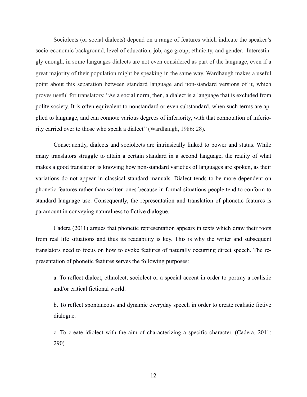Sociolects (or social dialects) depend on a range of features which indicate the speaker's socio-economic background, level of education, job, age group, ethnicity, and gender. Interestingly enough, in some languages dialects are not even considered as part of the language, even if a great majority of their population might be speaking in the same way. Wardhaugh makes a useful point about this separation between standard language and non-standard versions of it, which proves useful for translators: "As a social norm, then, a dialect is a language that is excluded from polite society. It is often equivalent to nonstandard or even substandard, when such terms are applied to language, and can connote various degrees of inferiority, with that connotation of inferiority carried over to those who speak a dialect'' (Wardhaugh, 1986: 28).

Consequently, dialects and sociolects are intrinsically linked to power and status. While many translators struggle to attain a certain standard in a second language, the reality of what makes a good translation is knowing how non-standard varieties of languages are spoken, as their variations do not appear in classical standard manuals. Dialect tends to be more dependent on phonetic features rather than written ones because in formal situations people tend to conform to standard language use. Consequently, the representation and translation of phonetic features is paramount in conveying naturalness to fictive dialogue.

Cadera (2011) argues that phonetic representation appears in texts which draw their roots from real life situations and thus its readability is key. This is why the writer and subsequent translators need to focus on how to evoke features of naturally occurring direct speech. The representation of phonetic features serves the following purposes:

a. To reflect dialect, ethnolect, sociolect or a special accent in order to portray a realistic and/or critical fictional world.

b. To reflect spontaneous and dynamic everyday speech in order to create realistic fictive dialogue.

c. To create idiolect with the aim of characterizing a specific character. (Cadera, 2011: 290)

12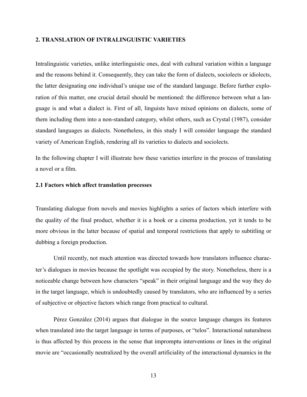### **2. TRANSLATION OF INTRALINGUISTIC VARIETIES**

Intralinguistic varieties, unlike interlinguistic ones, deal with cultural variation within a language and the reasons behind it. Consequently, they can take the form of dialects, sociolects or idiolects, the latter designating one individual's unique use of the standard language. Before further exploration of this matter, one crucial detail should be mentioned: the difference between what a language is and what a dialect is. First of all, linguists have mixed opinions on dialects, some of them including them into a non-standard category, whilst others, such as Crystal (1987), consider standard languages as dialects. Nonetheless, in this study I will consider language the standard variety of American English, rendering all its varieties to dialects and sociolects.

In the following chapter I will illustrate how these varieties interfere in the process of translating a novel or a film.

#### **2.1 Factors which affect translation processes**

Translating dialogue from novels and movies highlights a series of factors which interfere with the quality of the final product, whether it is a book or a cinema production, yet it tends to be more obvious in the latter because of spatial and temporal restrictions that apply to subtitling or dubbing a foreign production.

Until recently, not much attention was directed towards how translators influence character's dialogues in movies because the spotlight was occupied by the story. Nonetheless, there is a noticeable change between how characters "speak" in their original language and the way they do in the target language, which is undoubtedly caused by translators, who are influenced by a series of subjective or objective factors which range from practical to cultural.

Pérez González (2014) argues that dialogue in the source language changes its features when translated into the target language in terms of purposes, or "telos". Interactional naturalness is thus affected by this process in the sense that impromptu interventions or lines in the original movie are "occasionally neutralized by the overall artificiality of the interactional dynamics in the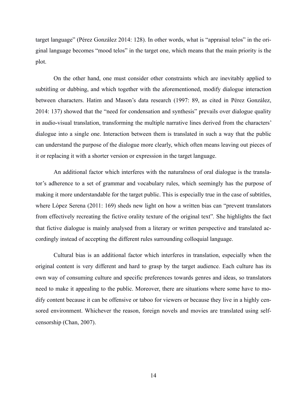target language" (Pérez González 2014: 128). In other words, what is "appraisal telos" in the original language becomes "mood telos" in the target one, which means that the main priority is the plot.

On the other hand, one must consider other constraints which are inevitably applied to subtitling or dubbing, and which together with the aforementioned, modify dialogue interaction between characters. Hatim and Mason's data research (1997: 89, as cited in Pérez González, 2014: 137) showed that the "need for condensation and synthesis" prevails over dialogue quality in audio-visual translation, transforming the multiple narrative lines derived from the characters' dialogue into a single one. Interaction between them is translated in such a way that the public can understand the purpose of the dialogue more clearly, which often means leaving out pieces of it or replacing it with a shorter version or expression in the target language.

An additional factor which interferes with the naturalness of oral dialogue is the translator's adherence to a set of grammar and vocabulary rules, which seemingly has the purpose of making it more understandable for the target public. This is especially true in the case of subtitles, where López Serena (2011: 169) sheds new light on how a written bias can "prevent translators" from effectively recreating the fictive orality texture of the original text"*.* She highlights the fact that fictive dialogue is mainly analysed from a literary or written perspective and translated accordingly instead of accepting the different rules surrounding colloquial language.

Cultural bias is an additional factor which interferes in translation, especially when the original content is very different and hard to grasp by the target audience. Each culture has its own way of consuming culture and specific preferences towards genres and ideas, so translators need to make it appealing to the public. Moreover, there are situations where some have to modify content because it can be offensive or taboo for viewers or because they live in a highly censored environment. Whichever the reason, foreign novels and movies are translated using selfcensorship (Chan, 2007).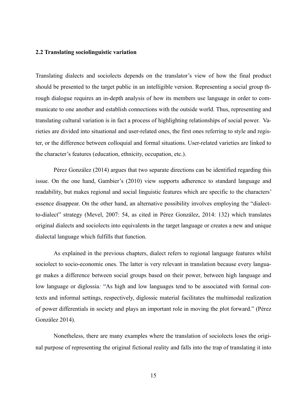### **2.2 Translating sociolinguistic variation**

Translating dialects and sociolects depends on the translator's view of how the final product should be presented to the target public in an intelligible version. Representing a social group through dialogue requires an in-depth analysis of how its members use language in order to communicate to one another and establish connections with the outside world. Thus, representing and translating cultural variation is in fact a process of highlighting relationships of social power. Varieties are divided into situational and user-related ones, the first ones referring to style and register, or the difference between colloquial and formal situations. User-related varieties are linked to the character's features (education, ethnicity, occupation, etc.).

Pérez González (2014) argues that two separate directions can be identified regarding this issue. On the one hand, Gambier's (2010) view supports adherence to standard language and readability, but makes regional and social linguistic features which are specific to the characters' essence disappear. On the other hand, an alternative possibility involves employing the "dialectto-dialect" strategy (Mevel, 2007: 54, as cited in Pérez González, 2014: 132) which translates original dialects and sociolects into equivalents in the target language or creates a new and unique dialectal language which fulfills that function.

As explained in the previous chapters, dialect refers to regional language features whilst sociolect to socio-economic ones. The latter is very relevant in translation because every language makes a difference between social groups based on their power, between high language and low language or diglossia*:* "As high and low languages tend to be associated with formal contexts and informal settings, respectively, diglossic material facilitates the multimodal realization of power differentials in society and plays an important role in moving the plot forward." (Pérez González 2014).

Nonetheless, there are many examples where the translation of sociolects loses the original purpose of representing the original fictional reality and falls into the trap of translating it into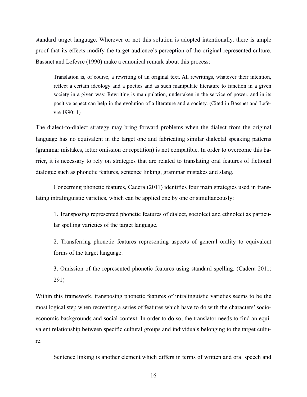standard target language. Wherever or not this solution is adopted intentionally, there is ample proof that its effects modify the target audience's perception of the original represented culture. Bassnet and Lefevre (1990) make a canonical remark about this process:

Translation is, of course, a rewriting of an original text. All rewritings, whatever their intention, reflect a certain ideology and a poetics and as such manipulate literature to function in a given society in a given way. Rewriting is manipulation, undertaken in the service of power, and in its positive aspect can help in the evolution of a literature and a society. (Cited in Bassnet and Lefevre 1990: 1)

The dialect-to-dialect strategy may bring forward problems when the dialect from the original language has no equivalent in the target one and fabricating similar dialectal speaking patterns (grammar mistakes, letter omission or repetition) is not compatible. In order to overcome this barrier, it is necessary to rely on strategies that are related to translating oral features of fictional dialogue such as phonetic features, sentence linking, grammar mistakes and slang.

Concerning phonetic features, Cadera (2011) identifies four main strategies used in translating intralinguistic varieties, which can be applied one by one or simultaneously:

1. Transposing represented phonetic features of dialect, sociolect and ethnolect as particular spelling varieties of the target language.

2. Transferring phonetic features representing aspects of general orality to equivalent forms of the target language.

3. Omission of the represented phonetic features using standard spelling. (Cadera 2011: 291)

Within this framework, transposing phonetic features of intralinguistic varieties seems to be the most logical step when recreating a series of features which have to do with the characters' socioeconomic backgrounds and social context. In order to do so, the translator needs to find an equivalent relationship between specific cultural groups and individuals belonging to the target culture.

Sentence linking is another element which differs in terms of written and oral speech and

16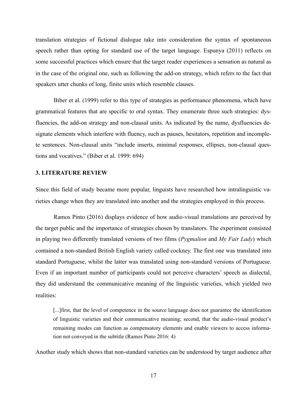translation strategies of fictional dialogue take into consideration the syntax of spontaneous speech rather than opting for standard use of the target language. Espunya (2011) reflects on some successful practices which ensure that the target reader experiences a sensation as natural as in the case of the original one, such as following the add-on strategy, which refers to the fact that speakers utter chunks of long, finite units which resemble clauses.

Biber et al. (1999) refer to this type of strategies as performance phenomena, which have grammatical features that are specific to oral syntax. They enumerate three such strategies: dysfluencies, the add-on strategy and non-clausal units. As indicated by the name, dysfluencies designate elements which interfere with fluency, such as pauses, hesitators, repetition and incomplete sentences. Non-clausal units "include inserts, minimal responses, ellipses, non-clausal questions and vocatives." (Biber et al. 1999: 694)

#### **3. LITERATURE REVIEW**

Since this field of study became more popular, linguists have researched how intralinguistic varieties change when they are translated into another and the strategies employed in this process.

Ramos Pinto (2016) displays evidence of how audio-visual translations are perceived by the target public and the importance of strategies chosen by translators. The experiment consisted in playing two differently translated versions of two films (*Pygmalion* and *My Fair Lady*) which contained a non-standard British English variety called cockney. The first one was translated into standard Portuguese, whilst the latter was translated using non-standard versions of Portuguese. Even if an important number of participants could not perceive characters' speech as dialectal, they did understand the communicative meaning of the linguistic varieties, which yielded two realities:

[...]first, that the level of competence in the source language does not guarantee the identification of linguistic varieties and their communicative meaning; second, that the audio-visual product's remaining modes can function as compensatory elements and enable viewers to access information not conveyed in the subtitle (Ramos Pinto 2016: 4)

Another study which shows that non-standard varieties can be understood by target audience after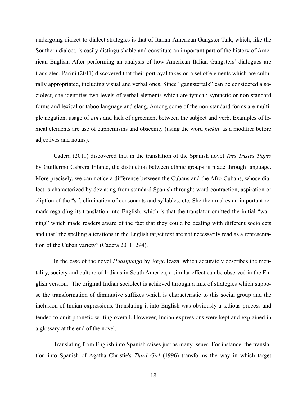undergoing dialect-to-dialect strategies is that of Italian-American Gangster Talk, which, like the Southern dialect, is easily distinguishable and constitute an important part of the history of American English. After performing an analysis of how American Italian Gangsters' dialogues are translated, Parini (2011) discovered that their portrayal takes on a set of elements which are culturally appropriated, including visual and verbal ones. Since "gangstertalk" can be considered a sociolect, she identifies two levels of verbal elements which are typical: syntactic or non-standard forms and lexical or taboo language and slang. Among some of the non-standard forms are multiple negation, usage of *ain't* and lack of agreement between the subject and verb. Examples of lexical elements are use of euphemisms and obscenity (using the word *fuckin'* as a modifier before adjectives and nouns).

Cadera (2011) discovered that in the translation of the Spanish novel *Tres Tristes Tigres*  by Guillermo Cabrera Infante, the distinction between ethnic groups is made through language. More precisely, we can notice a difference between the Cubans and the Afro-Cubans, whose dialect is characterized by deviating from standard Spanish through: word contraction, aspiration or eliption of the "s*"*, elimination of consonants and syllables, etc. She then makes an important remark regarding its translation into English, which is that the translator omitted the initial "warning" which made readers aware of the fact that they could be dealing with different sociolects and that "the spelling alterations in the English target text are not necessarily read as a representation of the Cuban variety" (Cadera 2011: 294).

In the case of the novel *Huasipungo* by Jorge Icaza, which accurately describes the mentality, society and culture of Indians in South America, a similar effect can be observed in the English version. The original Indian sociolect is achieved through a mix of strategies which suppose the transformation of diminutive suffixes which is characteristic to this social group and the inclusion of Indian expressions. Translating it into English was obviously a tedious process and tended to omit phonetic writing overall. However, Indian expressions were kept and explained in a glossary at the end of the novel.

Translating from English into Spanish raises just as many issues. For instance, the translation into Spanish of Agatha Christie's *Third Girl* (1996) transforms the way in which target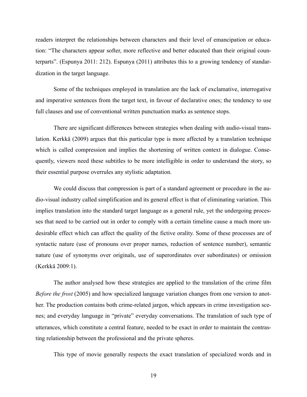readers interpret the relationships between characters and their level of emancipation or education: "The characters appear softer, more reflective and better educated than their original counterparts". (Espunya 2011: 212). Espunya (2011) attributes this to a growing tendency of standardization in the target language.

Some of the techniques employed in translation are the lack of exclamative, interrogative and imperative sentences from the target text, in favour of declarative ones; the tendency to use full clauses and use of conventional written punctuation marks as sentence stops.

There are significant differences between strategies when dealing with audio-visual translation. Kerkkä (2009) argues that this particular type is more affected by a translation technique which is called compression and implies the shortening of written context in dialogue. Consequently, viewers need these subtitles to be more intelligible in order to understand the story, so their essential purpose overrules any stylistic adaptation.

We could discuss that compression is part of a standard agreement or procedure in the audio-visual industry called simplification and its general effect is that of eliminating variation. This implies translation into the standard target language as a general rule, yet the undergoing processes that need to be carried out in order to comply with a certain timeline cause a much more undesirable effect which can affect the quality of the fictive orality. Some of these processes are of syntactic nature (use of pronouns over proper names, reduction of sentence number), semantic nature (use of synonyms over originals, use of superordinates over subordinates) or omission (Kerkkä 2009:1).

The author analysed how these strategies are applied to the translation of the crime film *Before the frost* (2005) and how specialized language variation changes from one version to another. The production contains both crime-related jargon, which appears in crime investigation scenes; and everyday language in "private" everyday conversations. The translation of such type of utterances, which constitute a central feature, needed to be exact in order to maintain the contrasting relationship between the professional and the private spheres.

This type of movie generally respects the exact translation of specialized words and in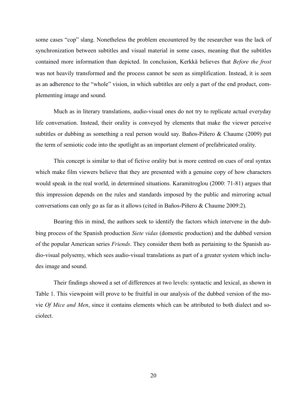some cases "cop" slang. Nonetheless the problem encountered by the researcher was the lack of synchronization between subtitles and visual material in some cases, meaning that the subtitles contained more information than depicted. In conclusion, Kerkkä believes that *Before the frost* was not heavily transformed and the process cannot be seen as simplification. Instead, it is seen as an adherence to the "whole" vision, in which subtitles are only a part of the end product, complementing image and sound.

Much as in literary translations, audio-visual ones do not try to replicate actual everyday life conversation. Instead, their orality is conveyed by elements that make the viewer perceive subtitles or dubbing as something a real person would say. Baños-Piñero & Chaume (2009) put the term of semiotic code into the spotlight as an important element of prefabricated orality.

This concept is similar to that of fictive orality but is more centred on cues of oral syntax which make film viewers believe that they are presented with a genuine copy of how characters would speak in the real world, in determined situations. Karamitroglou (2000: 71-81) argues that this impression depends on the rules and standards imposed by the public and mirroring actual conversations can only go as far as it allows (cited in Baños-Piñero & Chaume 2009:2).

Bearing this in mind, the authors seek to identify the factors which intervene in the dubbing process of the Spanish production *Siete vidas* (domestic production) and the dubbed version of the popular American series *Friends*. They consider them both as pertaining to the Spanish audio-visual polysemy, which sees audio-visual translations as part of a greater system which includes image and sound.

Their findings showed a set of differences at two levels: syntactic and lexical, as shown in Table 1. This viewpoint will prove to be fruitful in our analysis of the dubbed version of the movie *Of Mice and Men*, since it contains elements which can be attributed to both dialect and sociolect.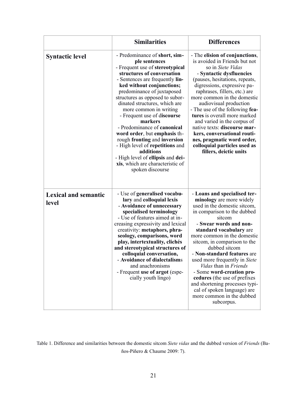|                                      | <b>Similarities</b>                                                                                                                                                                                                                                                                                                                                                                                                                                                                                                                                                                               | <b>Differences</b>                                                                                                                                                                                                                                                                                                                                                                                                                                                                                                                                     |
|--------------------------------------|---------------------------------------------------------------------------------------------------------------------------------------------------------------------------------------------------------------------------------------------------------------------------------------------------------------------------------------------------------------------------------------------------------------------------------------------------------------------------------------------------------------------------------------------------------------------------------------------------|--------------------------------------------------------------------------------------------------------------------------------------------------------------------------------------------------------------------------------------------------------------------------------------------------------------------------------------------------------------------------------------------------------------------------------------------------------------------------------------------------------------------------------------------------------|
| <b>Syntactic level</b>               | - Predominance of short, sim-<br>ple sentences<br>- Frequent use of stereotypical<br>structures of conversation<br>- Sentences are frequently lin-<br>ked without conjunctions;<br>predominance of juxtaposed<br>structures as opposed to subor-<br>dinated structures, which are<br>more common in writing<br>- Frequent use of discourse<br>markers<br>- Predominance of canonical<br>word order, but emphasis th-<br>rough fronting and inversion<br>- High level of repetitions and<br>additions<br>- High level of ellipsis and dei-<br>xis, which are characteristic of<br>spoken discourse | - The elision of conjunctions,<br>is avoided in Friends but not<br>so in Siete Vidas<br>- Syntactic dysfluencies<br>(pauses, hesitations, repeats,<br>digressions, expressive pa-<br>raphrases, fillers, etc.) are<br>more common in the domestic<br>audiovisual production<br>- The use of the following fea-<br>tures is overall more marked<br>and varied in the corpus of<br>native texts: discourse mar-<br>kers, conversational routi-<br>nes, pragmatic word order,<br>colloquial particles used as<br>fillers, deictic units                   |
| <b>Lexical and semantic</b><br>level | - Use of generalised vocabu-<br>lary and colloquial lexis<br>- Avoidance of unnecessary<br>specialised terminology<br>- Use of features aimed at in-<br>creasing expressivity and lexical<br>creativity: metaphors, phra-<br>seology, comparisons, word<br>play, intertextuality, clichés<br>and stereotypical structures of<br>colloquial conversation,<br>- Avoidance of dialectalisms<br>and anachronisms<br>- Frequent use of argot (espe-<br>cially youth lingo)                                                                                                                             | - Loans and specialised ter-<br>minology are more widely<br>used in the domestic sitcom,<br>in comparison to the dubbed<br>sitcom<br>- Swear words and non-<br>standard vocabulary are<br>more common in the domestic<br>sitcom, in comparison to the<br>dubbed sitcom<br>- Non-standard features are<br>used more frequently in Siete<br><i>Vidas</i> than in <i>Friends</i><br>- Some word-creation pro-<br>cedures (the use of prefixes<br>and shortening processes typi-<br>cal of spoken language) are<br>more common in the dubbed<br>subcorpus. |

Table 1. Difference and similarities between the domestic sitcom *Siete vidas* and the dubbed version of *Friends* (Baños-Piñero & Chaume 2009: 7).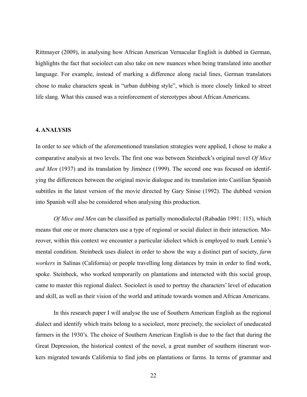Rittmayer (2009), in analysing how African American Vernacular English is dubbed in German, highlights the fact that sociolect can also take on new nuances when being translated into another language. For example, instead of marking a difference along racial lines, German translators chose to make characters speak in "urban dubbing style", which is more closely linked to street life slang. What this caused was a reinforcement of stereotypes about African Americans.

### **4. ANALYSIS**

In order to see which of the aforementioned translation strategies were applied, I chose to make a comparative analysis at two levels. The first one was between Steinbeck's original novel *Of Mice and Men* (1937) and its translation by Jiménez (1999). The second one was focused on identifying the differences between the original movie dialogue and its translation into Castilian Spanish subtitles in the latest version of the movie directed by Gary Sinise (1992). The dubbed version into Spanish will also be considered when analysing this production.

*Of Mice and Men* can be classified as partially monodialectal (Rabadán 1991: 115), which means that one or more characters use a type of regional or social dialect in their interaction. Moreover, within this context we encounter a particular idiolect which is employed to mark Lennie's mental condition. Steinbeck uses dialect in order to show the way a distinct part of society, *farm workers* in Salinas (California) or people travelling long distances by train in order to find work, spoke. Steinbeck, who worked temporarily on plantations and interacted with this social group, came to master this regional dialect. Sociolect is used to portray the characters' level of education and skill, as well as their vision of the world and attitude towards women and African Americans.

In this research paper I will analyse the use of Southern American English as the regional dialect and identify which traits belong to a sociolect, more precisely, the sociolect of uneducated farmers in the 1930's. The choice of Southern American English is due to the fact that during the Great Depression, the historical context of the novel, a great number of southern itinerant workers migrated towards California to find jobs on plantations or farms. In terms of grammar and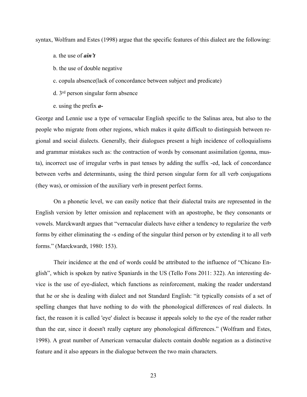syntax, Wolfram and Estes (1998) argue that the specific features of this dialect are the following:

- a. the use of *ain't*
- b. the use of double negative
- c. copula absence(lack of concordance between subject and predicate)
- d. 3rd person singular form absence
- e. using the prefix *a-*

George and Lennie use a type of vernacular English specific to the Salinas area, but also to the people who migrate from other regions, which makes it quite difficult to distinguish between regional and social dialects. Generally, their dialogues present a high incidence of colloquialisms and grammar mistakes such as: the contraction of words by consonant assimilation (gonna, musta), incorrect use of irregular verbs in past tenses by adding the suffix -ed, lack of concordance between verbs and determinants, using the third person singular form for all verb conjugations (they was), or omission of the auxiliary verb in present perfect forms.

On a phonetic level, we can easily notice that their dialectal traits are represented in the English version by letter omission and replacement with an apostrophe, be they consonants or vowels. Marckwardt argues that "vernacular dialects have either a tendency to regularize the verb forms by either eliminating the -s ending of the singular third person or by extending it to all verb forms." (Marckwardt, 1980: 153).

Their incidence at the end of words could be attributed to the influence of "Chicano English", which is spoken by native Spaniards in the US (Tello Fons 2011: 322). An interesting device is the use of eye-dialect, which functions as reinforcement, making the reader understand that he or she is dealing with dialect and not Standard English: "it typically consists of a set of spelling changes that have nothing to do with the phonological differences of real dialects. In fact, the reason it is called 'eye' dialect is because it appeals solely to the eye of the reader rather than the ear, since it doesn't really capture any phonological differences." (Wolfram and Estes, 1998). A great number of American vernacular dialects contain double negation as a distinctive feature and it also appears in the dialogue between the two main characters.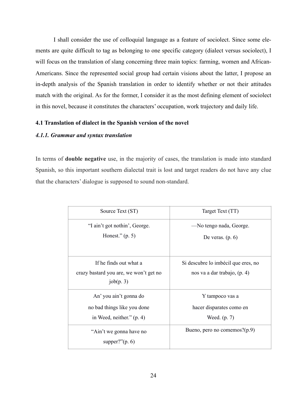I shall consider the use of colloquial language as a feature of sociolect. Since some elements are quite difficult to tag as belonging to one specific category (dialect versus sociolect), I will focus on the translation of slang concerning three main topics: farming, women and African-Americans. Since the represented social group had certain visions about the latter, I propose an in-depth analysis of the Spanish translation in order to identify whether or not their attitudes match with the original. As for the former, I consider it as the most defining element of sociolect in this novel, because it constitutes the characters' occupation, work trajectory and daily life.

# **4.1 Translation of dialect in the Spanish version of the novel**

# *4.1.1. Grammar and syntax translation*

In terms of **double negative** use, in the majority of cases, the translation is made into standard Spanish, so this important southern dialectal trait is lost and target readers do not have any clue that the characters' dialogue is supposed to sound non-standard.

| Source Text (ST)                                                                     | Target Text (TT)                                                    |
|--------------------------------------------------------------------------------------|---------------------------------------------------------------------|
| "I ain't got nothin', George.<br>Honest." $(p. 5)$                                   | —No tengo nada, George.<br>De veras. $(p. 6)$                       |
| If he finds out what a<br>crazy bastard you are, we won't get no<br>job(p. 3)        | Si descubre lo imbécil que eres, no<br>nos va a dar trabajo, (p. 4) |
| An' you ain't gonna do<br>no bad things like you done<br>in Weed, neither." $(p. 4)$ | Y tampoco vas a<br>hacer disparates como en<br>Weed. (p. 7)         |
| "Ain't we gonna have no<br>supper?" $(p. 6)$                                         | Bueno, pero no comemos?(p.9)                                        |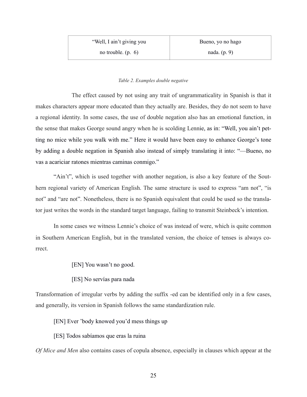## *Table 2. Examples double negative*

The effect caused by not using any trait of ungrammaticality in Spanish is that it makes characters appear more educated than they actually are. Besides, they do not seem to have a regional identity. In some cases, the use of double negation also has an emotional function, in the sense that makes George sound angry when he is scolding Lennie, as in: "Well, you ain't petting no mice while you walk with me." Here it would have been easy to enhance George's tone by adding a double negation in Spanish also instead of simply translating it into: "—Bueno, no vas a acariciar ratones mientras caminas conmigo."

"Ain't", which is used together with another negation, is also a key feature of the Southern regional variety of American English. The same structure is used to express "am not", "is not" and "are not". Nonetheless, there is no Spanish equivalent that could be used so the translator just writes the words in the standard target language, failing to transmit Steinbeck's intention.

In some cases we witness Lennie's choice of was instead of were, which is quite common in Southern American English, but in the translated version, the choice of tenses is always correct.

[EN] You wasn't no good.

[ES] No servías para nada

Transformation of irregular verbs by adding the suffix -ed can be identified only in a few cases, and generally, its version in Spanish follows the same standardization rule.

[EN] Ever 'body knowed you'd mess things up

[ES] Todos sabíamos que eras la ruina

*Of Mice and Men* also contains cases of copula absence, especially in clauses which appear at the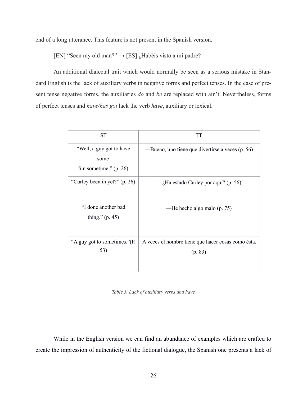end of a long utterance. This feature is not present in the Spanish version.

[EN] "Seen my old man?"  $\rightarrow$  [ES]  $\lambda$ Habéis visto a mi padre?

An additional dialectal trait which would normally be seen as a serious mistake in Standard English is the lack of auxiliary verbs in negative forms and perfect tenses. In the case of present tense negative forms, the auxiliaries *do* and *be* are replaced with ain't. Nevertheless, forms of perfect tenses and *have/has got* lack the verb *have*, auxiliary or lexical.

| <b>ST</b>                                                    | <b>TT</b>                                                     |
|--------------------------------------------------------------|---------------------------------------------------------------|
| "Well, a guy got to have<br>some<br>fun sometime," $(p. 26)$ | —Bueno, uno tiene que divertirse a veces (p. 56)              |
| "Curley been in yet?" (p. 26)                                | $-$ <i>i</i> Ha estado Curley por aquí? (p. 56)               |
| "I done another bad<br>thing." $(p. 45)$                     | —He hecho algo malo (p. 75)                                   |
| "A guy got to sometimes."(P.<br>53)                          | A veces el hombre tiene que hacer cosas como ésta.<br>(p. 83) |

*Table 3. Lack of auxiliary verbs and have*

While in the English version we can find an abundance of examples which are crafted to create the impression of authenticity of the fictional dialogue, the Spanish one presents a lack of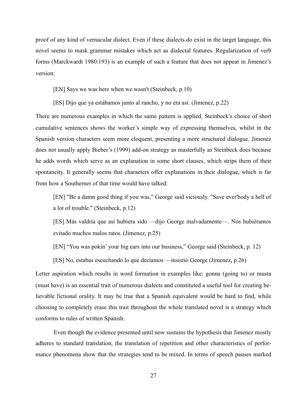proof of any kind of vernacular dialect. Even if these dialects do exist in the target language, this novel seems to mask grammar mistakes which act as dialectal features. Regularization of verb forms (Marckwardt 1980:193) is an example of such a feature that does not appear in Jimenez's version:

[EN] Says we was here when we wasn't (Steinbeck, p.10)

[ES] Dijo que ya estábamos junto al rancho, y no era así. (Jimenez, p.22)

There are numerous examples in which the same pattern is applied. Steinbeck's choice of short cumulative sentences shows the worker's simple way of expressing themselves, whilst in the Spanish version characters seem more eloquent, presenting a more structured dialogue. Jimenez does not usually apply Bieber's (1999) add-on strategy as masterfully as Steinbeck does because he adds words which serve as an explanation in some short clauses, which strips them of their spontaneity. It generally seems that characters offer explanations in their dialogue, which is far from how a Southerner of that time would have talked:

[EN] "Be a damn good thing if you was," George said viciously. "Save ever'body a hell of a lot of trouble." (Steinbeck, p.12)

[ES] Más valdría que así hubiera sido —dijo George malvadamente—. Nos hubiéramos evitado muchos malos ratos. (Jimenez, p.25)

[EN] "You was pokin' your big ears into our business," George said (Steinbeck, p. 12)

[ES] No, estabas escuchando lo que decíamos —insistió George (Jimenez, p.26)

Letter aspiration which results in word formation in examples like: gonna (going to) or musta (must have) is an essential trait of numerous dialects and constituted a useful tool for creating believable fictional orality. It may be true that a Spanish equivalent would be hard to find, while choosing to completely erase this trait throughout the whole translated novel is a strategy which conforms to rules of written Spanish.

Even though the evidence presented until now sustains the hypothesis that Jimenez mostly adheres to standard translation, the translation of repetition and other characteristics of performance phenomena show that the strategies tend to be mixed. In terms of speech pauses marked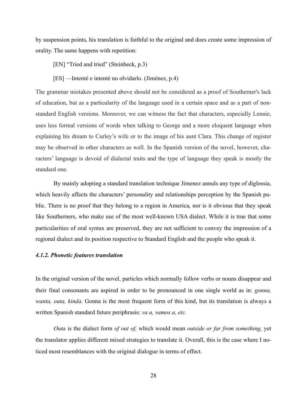by suspension points, his translation is faithful to the original and does create some impression of orality. The same happens with repetition:

[EN] "Tried and tried" (Steinbeck, p.3)

[ES] —Intenté e intenté no olvidarlo. (Jiménez, p.4)

The grammar mistakes presented above should not be considered as a proof of Southerner's lack of education, but as a particularity of the language used in a certain space and as a part of nonstandard English versions. Moreover, we can witness the fact that characters, especially Lennie, uses less formal versions of words when talking to George and a more eloquent language when explaining his dream to Curley's wife or to the image of his aunt Clara. This change of register may be observed in other characters as well. In the Spanish version of the novel, however, characters' language is devoid of dialectal traits and the type of language they speak is mostly the standard one.

By mainly adopting a standard translation technique Jimenez annuls any type of diglossia, which heavily affects the characters' personality and relationships perception by the Spanish public. There is no proof that they belong to a region in America, nor is it obvious that they speak like Southerners, who make use of the most well-known USA dialect. While it is true that some particularities of oral syntax are preserved, they are not sufficient to convey the impression of a regional dialect and its position respective to Standard English and the people who speak it.

# *4.1.2. Phonetic features translation*

In the original version of the novel, particles which normally follow verbs or nouns disappear and their final consonants are aspired in order to be pronounced in one single world as in: *gonna, wanta, outa, kinda*. Gonna is the most frequent form of this kind, but its translation is always a written Spanish standard future periphrasis: *va a, vamos a, etc.* 

*Outa* is the dialect form *of out of,* which would mean *outside or far from something,* yet the translator applies different mixed strategies to translate it. Overall, this is the case where I noticed most resemblances with the original dialogue in terms of effect.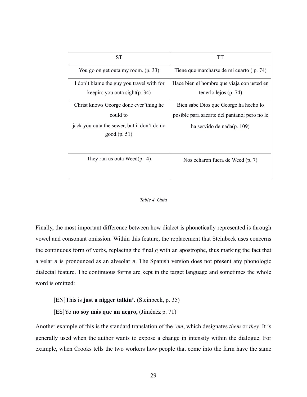| <b>ST</b>                                                                                                        | <b>TT</b>                                                                                                           |
|------------------------------------------------------------------------------------------------------------------|---------------------------------------------------------------------------------------------------------------------|
| You go on get outa my room. (p. 33)                                                                              | Tiene que marcharse de mi cuarto (p. 74)                                                                            |
| I don't blame the guy you travel with for<br>keepin; you outa sight(p. 34)                                       | Hace bien el hombre que viaja con usted en<br>tenerlo lejos (p. 74)                                                 |
| Christ knows George done ever'thing he<br>could to<br>jack you outa the sewer, but it don't do no<br>good(p. 51) | Bien sabe Dios que George ha hecho lo<br>posible para sacarte del pantano; pero no le<br>ha servido de nada(p. 109) |
| They run us outa Weed $(p. 4)$                                                                                   | Nos echaron fuera de Weed (p. 7)                                                                                    |

#### *Table 4. Outa*

Finally, the most important difference between how dialect is phonetically represented is through vowel and consonant omission. Within this feature, the replacement that Steinbeck uses concerns the continuous form of verbs, replacing the final *g* with an apostrophe, thus marking the fact that a velar *n* is pronounced as an alveolar *n*. The Spanish version does not present any phonologic dialectal feature. The continuous forms are kept in the target language and sometimes the whole word is omitted:

[EN]This is **just a nigger talkin'.** (Steinbeck, p. 35)

[ES]Yo **no soy más que un negro,** (Jiménez p. 71)

Another example of this is the standard translation of the *'em*, which designates *them* or *they*. It is generally used when the author wants to expose a change in intensity within the dialogue. For example, when Crooks tells the two workers how people that come into the farm have the same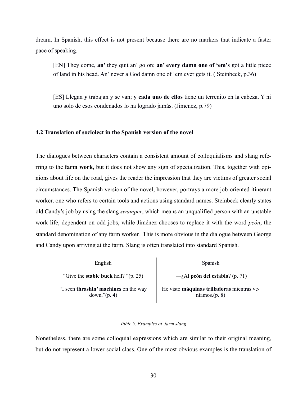dream. In Spanish, this effect is not present because there are no markers that indicate a faster pace of speaking.

[EN] They come, **an'** they quit an' go on; **an' every damn one of 'em's** got a little piece of land in his head. An' never a God damn one of 'em ever gets it. ( Steinbeck, p.36)

[ES] Llegan **y** trabajan y se van; **y cada uno de ellos** tiene un terrenito en la cabeza. Y ni uno solo de esos condenados lo ha logrado jamás. (Jimenez, p.79)

### **4.2 Translation of sociolect in the Spanish version of the novel**

The dialogues between characters contain a consistent amount of colloquialisms and slang referring to the **farm work**, but it does not show any sign of specialization. This, together with opinions about life on the road, gives the reader the impression that they are victims of greater social circumstances. The Spanish version of the novel, however, portrays a more job-oriented itinerant worker, one who refers to certain tools and actions using standard names. Steinbeck clearly states old Candy's job by using the slang *swamper*, which means an unqualified person with an unstable work life, dependent on odd jobs, while Jiménez chooses to replace it with the word *peón*, the standard denomination of any farm worker. This is more obvious in the dialogue between George and Candy upon arriving at the farm. Slang is often translated into standard Spanish.

| English                                                  | Spanish                                                     |
|----------------------------------------------------------|-------------------------------------------------------------|
| "Give the <b>stable buck</b> hell? " $(p. 25)$ "         | $-i$ Al peón del establo? (p. 71)                           |
| "I seen thrashin' machines on the way<br>down." $(p. 4)$ | He visto máquinas trilladoras mientras ve-<br>niamos.(p. 8) |

#### *Table 5. Examples of farm slang*

Nonetheless, there are some colloquial expressions which are similar to their original meaning, but do not represent a lower social class. One of the most obvious examples is the translation of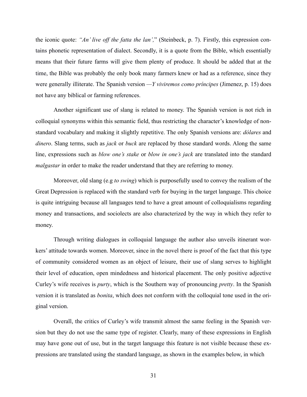the iconic quote: *"An' live off the fatta the lan',*" (Steinbeck, p. 7). Firstly, this expression contains phonetic representation of dialect. Secondly, it is a quote from the Bible, which essentially means that their future farms will give them plenty of produce. It should be added that at the time, the Bible was probably the only book many farmers knew or had as a reference, since they were generally illiterate. The Spanish version *—Y viviremos como príncipes* (Jimenez, p. 15) does not have any biblical or farming references.

Another significant use of slang is related to money. The Spanish version is not rich in colloquial synonyms within this semantic field, thus restricting the character's knowledge of nonstandard vocabulary and making it slightly repetitive. The only Spanish versions are: *dólares* and *dinero*. Slang terms, such as *jack* or *buck* are replaced by those standard words. Along the same line, expressions such as *blow one's stake* or *blow in one's jack* are translated into the standard *malgastar* in order to make the reader understand that they are referring to money.

Moreover, old slang (e.g *to swing*) which is purposefully used to convey the realism of the Great Depression is replaced with the standard verb for buying in the target language. This choice is quite intriguing because all languages tend to have a great amount of colloquialisms regarding money and transactions, and sociolects are also characterized by the way in which they refer to money.

Through writing dialogues in colloquial language the author also unveils itinerant workers' attitude towards women. Moreover, since in the novel there is proof of the fact that this type of community considered women as an object of leisure, their use of slang serves to highlight their level of education, open mindedness and historical placement. The only positive adjective Curley's wife receives is *purty*, which is the Southern way of pronouncing *pretty*. In the Spanish version it is translated as *bonita*, which does not conform with the colloquial tone used in the original version.

Overall, the critics of Curley's wife transmit almost the same feeling in the Spanish version but they do not use the same type of register. Clearly, many of these expressions in English may have gone out of use, but in the target language this feature is not visible because these expressions are translated using the standard language, as shown in the examples below, in which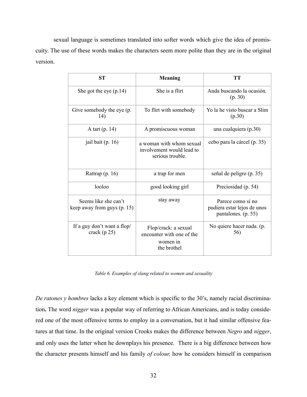sexual language is sometimes translated into softer words which give the idea of promiscuity. The use of these words makes the characters seem more polite than they are in the original version.

| <b>ST</b>                                           | <b>Meaning</b>                                                               | <b>TT</b>                                                               |
|-----------------------------------------------------|------------------------------------------------------------------------------|-------------------------------------------------------------------------|
| She got the eye $(p.14)$                            | She is a flirt                                                               | Anda buscando la ocasión.<br>(p. 30)                                    |
| Give somebody the eye (p.<br>14)                    | To flirt with somebody                                                       | Yo la he visto buscar a Slim<br>(p.30)                                  |
| A tart $(p. 14)$                                    | A promiscuous woman                                                          | una cualquiera (p.30)                                                   |
| jail bait $(p. 16)$                                 | a woman with whom sexual<br>involvement would lead to<br>serious trouble.    | cebo para la cárcel (p. 35)                                             |
| Rattrap $(p. 16)$                                   | a trap for men                                                               | señal de peligro (p. 35)                                                |
| looloo                                              | good looking girl                                                            | Preciosidad (p. 54)                                                     |
| Seems like she can't<br>keep away from guys (p. 15) | stay away                                                                    | Parece como si no<br>pudiera estar lejos de unos<br>pantalones. (p. 55) |
| If a guy don't want a flop/<br>crack ( $p 25$ )     | Flop/crack: a sexual<br>encounter with one of the<br>women in<br>the brothel | No quiere hacer nada. (p.<br>56)                                        |

*Table 6. Examples of slang related to women and sexuality*

*De ratones y hombres* lacks a key element which is specific to the 30's, namely racial discrimination**.** The word *nigger* was a popular way of referring to African Americans, and is today considered one of the most offensive terms to employ in a conversation, but it had similar offensive features at that time. In the original version Crooks makes the difference between *Negro* and *nigger*, and only uses the latter when he downplays his presence. There is a big difference between how the character presents himself and his family *of colour,* how he considers himself in comparison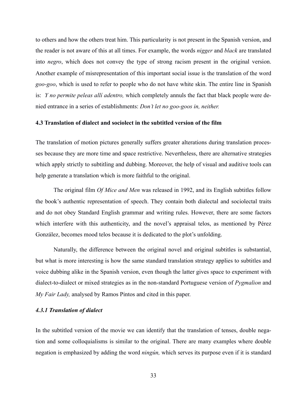to others and how the others treat him. This particularity is not present in the Spanish version, and the reader is not aware of this at all times. For example, the words *nigger* and *black* are translated into *negro*, which does not convey the type of strong racism present in the original version. Another example of misrepresentation of this important social issue is the translation of the word *goo-goo*, which is used to refer to people who do not have white skin. The entire line in Spanish is: *Y no permite peleas allí adentro,* which completely annuls the fact that black people were denied entrance in a series of establishments: *Don't let no goo-goos in, neither.*

#### **4.3 Translation of dialect and sociolect in the subtitled version of the film**

The translation of motion pictures generally suffers greater alterations during translation processes because they are more time and space restrictive. Nevertheless, there are alternative strategies which apply strictly to subtitling and dubbing. Moreover, the help of visual and auditive tools can help generate a translation which is more faithful to the original.

The original film *Of Mice and Men* was released in 1992, and its English subtitles follow the book's authentic representation of speech. They contain both dialectal and sociolectal traits and do not obey Standard English grammar and writing rules. However, there are some factors which interfere with this authenticity, and the novel's appraisal telos, as mentioned by Pérez González, becomes mood telos because it is dedicated to the plot's unfolding.

Naturally, the difference between the original novel and original subtitles is substantial, but what is more interesting is how the same standard translation strategy applies to subtitles and voice dubbing alike in the Spanish version, even though the latter gives space to experiment with dialect-to-dialect or mixed strategies as in the non-standard Portuguese version of *Pygmalion* and *My Fair Lady,* analysed by Ramos Pintos and cited in this paper.

#### *4.3.1 Translation of dialect*

In the subtitled version of the movie we can identify that the translation of tenses, double negation and some colloquialisms is similar to the original. There are many examples where double negation is emphasized by adding the word *ningún,* which serves its purpose even if it is standard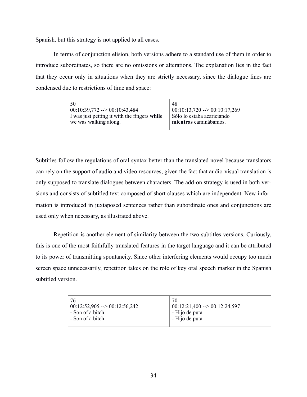Spanish, but this strategy is not applied to all cases.

In terms of conjunction elision, both versions adhere to a standard use of them in order to introduce subordinates, so there are no omissions or alterations. The explanation lies in the fact that they occur only in situations when they are strictly necessary, since the dialogue lines are condensed due to restrictions of time and space:

| 50                                           | 48                                       |
|----------------------------------------------|------------------------------------------|
| $ 00:10:39,772 \rightarrow 00:10:43,484$     | $ 00:10:13,720 \rightarrow 00:10:17,269$ |
| I was just petting it with the fingers while | Sólo lo estaba acariciando               |
| we was walking along.                        | mientras caminábamos.                    |
|                                              |                                          |

Subtitles follow the regulations of oral syntax better than the translated novel because translators can rely on the support of audio and video resources, given the fact that audio-visual translation is only supposed to translate dialogues between characters. The add-on strategy is used in both versions and consists of subtitled text composed of short clauses which are independent. New information is introduced in juxtaposed sentences rather than subordinate ones and conjunctions are used only when necessary, as illustrated above.

Repetition is another element of similarity between the two subtitles versions. Curiously, this is one of the most faithfully translated features in the target language and it can be attributed to its power of transmitting spontaneity. Since other interfering elements would occupy too much screen space unnecessarily, repetition takes on the role of key oral speech marker in the Spanish subtitled version.

| 76<br>$00:12:52,905 \rightarrow 00:12:56,242$<br>- Son of a bitch!<br>- Son of a bitch! | 70<br>$00:12:21,400 \rightarrow 00:12:24,597$<br>- Hijo de puta.<br>- Hijo de puta. |
|-----------------------------------------------------------------------------------------|-------------------------------------------------------------------------------------|
|                                                                                         |                                                                                     |
|                                                                                         |                                                                                     |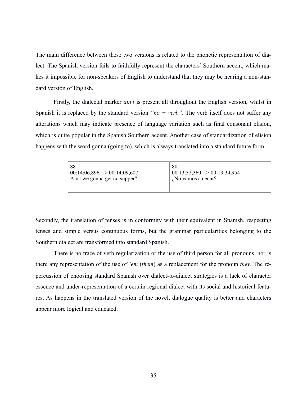The main difference between these two versions is related to the phonetic representation of dialect. The Spanish version fails to faithfully represent the characters' Southern accent, which makes it impossible for non-speakers of English to understand that they may be hearing a non-standard version of English.

Firstly, the dialectal marker *ain't* is present all throughout the English version, whilst in Spanish it is replaced by the standard version " $no + verb$ ". The verb itself does not suffer any alterations which may indicate presence of language variation such as final consonant elision, which is quite popular in the Spanish Southern accent. Another case of standardization of elision happens with the word gonna (going to), which is always translated into a standard future form.

| -88<br>80<br>$\mid 00:14:06,896 \rightarrow 00:14:09,607 \mid$<br>Ain't we gonna get no supper?<br>$i$ No vamos a cenar? | $00:13:32,360 \rightarrow 00:13:34,954$ |
|--------------------------------------------------------------------------------------------------------------------------|-----------------------------------------|
|--------------------------------------------------------------------------------------------------------------------------|-----------------------------------------|

Secondly, the translation of tenses is in conformity with their equivalent in Spanish, respecting tenses and simple versus continuous forms, but the grammar particularities belonging to the Southern dialect are transformed into standard Spanish.

There is no trace of verb regularization or the use of third person for all pronouns, nor is there any representation of the use of *'em* (*them*) as a replacement for the pronoun *they*. The repercussion of choosing standard Spanish over dialect-to-dialect strategies is a lack of character essence and under-representation of a certain regional dialect with its social and historical features. As happens in the translated version of the novel, dialogue quality is better and characters appear more logical and educated.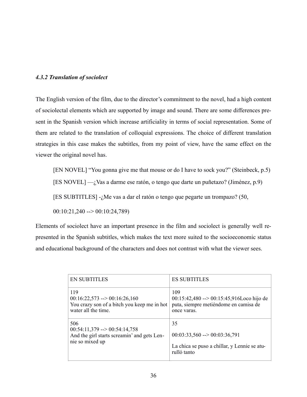# *4.3.2 Translation of sociolect*

The English version of the film, due to the director's commitment to the novel, had a high content of sociolectal elements which are supported by image and sound. There are some differences present in the Spanish version which increase artificiality in terms of social representation. Some of them are related to the translation of colloquial expressions. The choice of different translation strategies in this case makes the subtitles, from my point of view, have the same effect on the viewer the original novel has.

[EN NOVEL] "You gonna give me that mouse or do I have to sock you?" (Steinbeck, p.5)

[ES NOVEL]  $-i$ , Vas a darme ese ratón, o tengo que darte un puñetazo? (Jiménez, p.9)

[ES SUBTITLES] -¿Me vas a dar el ratón o tengo que pegarte un trompazo? (50,

00:10:21,240 --> 00:10:24,789)

Elements of sociolect have an important presence in the film and sociolect is generally well represented in the Spanish subtitles, which makes the text more suited to the socioeconomic status and educational background of the characters and does not contrast with what the viewer sees.

| <b>EN SUBTITLES</b>                         | <b>ES SUBTITLES</b>                                  |
|---------------------------------------------|------------------------------------------------------|
| 119                                         | 109                                                  |
| $00:16:22,573 \rightarrow 00:16:26,160$     | $00:15:42,480 \rightarrow 00:15:45,916$ Loco hijo de |
| You crazy son of a bitch you keep me in hot | puta, siempre metiéndome en camisa de                |
| water all the time.                         | once varas.                                          |
| 506                                         | 35                                                   |
| $00:54:11,379 \rightarrow 00:54:14,758$     | $00:03:33,560 \rightarrow 00:03:36,791$              |
| And the girl starts screamin' and gets Len- | La chica se puso a chillar, y Lennie se atu-         |
| nie so mixed up                             | rulló tanto                                          |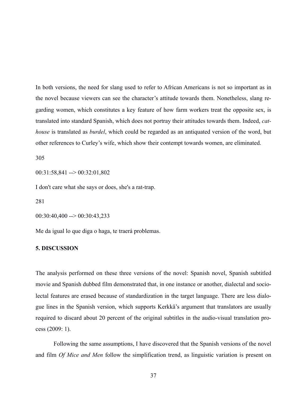In both versions, the need for slang used to refer to African Americans is not so important as in the novel because viewers can see the character's attitude towards them. Nonetheless, slang regarding women, which constitutes a key feature of how farm workers treat the opposite sex, is translated into standard Spanish, which does not portray their attitudes towards them. Indeed, *cathouse* is translated as *burdel*, which could be regarded as an antiquated version of the word, but other references to Curley's wife, which show their contempt towards women, are eliminated.

305

00:31:58,841 --> 00:32:01,802

I don't care what she says or does, she's a rat-trap.

281

 $00:30:40,400 \rightarrow 00:30:43,233$ 

Me da igual lo que diga o haga, te traerá problemas.

# **5. DISCUSSION**

The analysis performed on these three versions of the novel: Spanish novel, Spanish subtitled movie and Spanish dubbed film demonstrated that, in one instance or another, dialectal and sociolectal features are erased because of standardization in the target language. There are less dialogue lines in the Spanish version, which supports Kerkkä's argument that translators are usually required to discard about 20 percent of the original subtitles in the audio-visual translation process (2009: 1).

Following the same assumptions, I have discovered that the Spanish versions of the novel and film *Of Mice and Men* follow the simplification trend, as linguistic variation is present on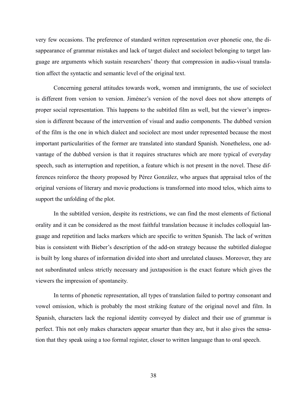very few occasions. The preference of standard written representation over phonetic one, the disappearance of grammar mistakes and lack of target dialect and sociolect belonging to target language are arguments which sustain researchers' theory that compression in audio-visual translation affect the syntactic and semantic level of the original text.

Concerning general attitudes towards work, women and immigrants, the use of sociolect is different from version to version. Jiménez's version of the novel does not show attempts of proper social representation. This happens to the subtitled film as well, but the viewer's impression is different because of the intervention of visual and audio components. The dubbed version of the film is the one in which dialect and sociolect are most under represented because the most important particularities of the former are translated into standard Spanish. Nonetheless, one advantage of the dubbed version is that it requires structures which are more typical of everyday speech, such as interruption and repetition, a feature which is not present in the novel. These differences reinforce the theory proposed by Pérez González, who argues that appraisal telos of the original versions of literary and movie productions is transformed into mood telos, which aims to support the unfolding of the plot.

In the subtitled version, despite its restrictions, we can find the most elements of fictional orality and it can be considered as the most faithful translation because it includes colloquial language and repetition and lacks markers which are specific to written Spanish. The lack of written bias is consistent with Bieber's description of the add-on strategy because the subtitled dialogue is built by long shares of information divided into short and unrelated clauses. Moreover, they are not subordinated unless strictly necessary and juxtaposition is the exact feature which gives the viewers the impression of spontaneity.

In terms of phonetic representation, all types of translation failed to portray consonant and vowel omission, which is probably the most striking feature of the original novel and film. In Spanish, characters lack the regional identity conveyed by dialect and their use of grammar is perfect. This not only makes characters appear smarter than they are, but it also gives the sensation that they speak using a too formal register, closer to written language than to oral speech.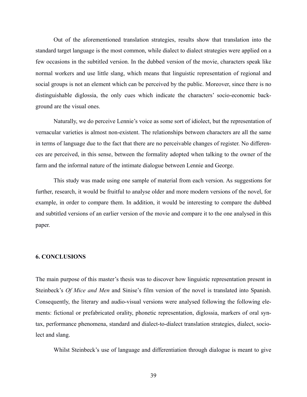Out of the aforementioned translation strategies, results show that translation into the standard target language is the most common, while dialect to dialect strategies were applied on a few occasions in the subtitled version. In the dubbed version of the movie, characters speak like normal workers and use little slang, which means that linguistic representation of regional and social groups is not an element which can be perceived by the public. Moreover, since there is no distinguishable diglossia, the only cues which indicate the characters' socio-economic background are the visual ones.

Naturally, we do perceive Lennie's voice as some sort of idiolect, but the representation of vernacular varieties is almost non-existent. The relationships between characters are all the same in terms of language due to the fact that there are no perceivable changes of register. No differences are perceived, in this sense, between the formality adopted when talking to the owner of the farm and the informal nature of the intimate dialogue between Lennie and George.

This study was made using one sample of material from each version. As suggestions for further, research, it would be fruitful to analyse older and more modern versions of the novel, for example, in order to compare them. In addition, it would be interesting to compare the dubbed and subtitled versions of an earlier version of the movie and compare it to the one analysed in this paper.

# **6. CONCLUSIONS**

The main purpose of this master's thesis was to discover how linguistic representation present in Steinbeck's *Of Mice and Men* and Sinise's film version of the novel is translated into Spanish. Consequently, the literary and audio-visual versions were analysed following the following elements: fictional or prefabricated orality, phonetic representation, diglossia, markers of oral syntax, performance phenomena, standard and dialect-to-dialect translation strategies, dialect, sociolect and slang.

Whilst Steinbeck's use of language and differentiation through dialogue is meant to give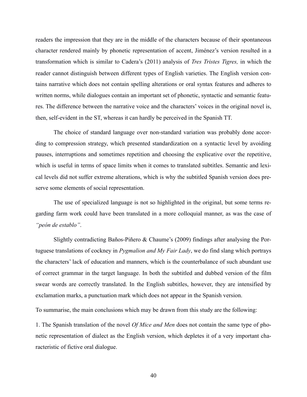readers the impression that they are in the middle of the characters because of their spontaneous character rendered mainly by phonetic representation of accent, Jiménez's version resulted in a transformation which is similar to Cadera's (2011) analysis of *Tres Tristes Tigres,* in which the reader cannot distinguish between different types of English varieties. The English version contains narrative which does not contain spelling alterations or oral syntax features and adheres to written norms, while dialogues contain an important set of phonetic, syntactic and semantic features. The difference between the narrative voice and the characters' voices in the original novel is, then, self-evident in the ST, whereas it can hardly be perceived in the Spanish TT.

The choice of standard language over non-standard variation was probably done according to compression strategy, which presented standardization on a syntactic level by avoiding pauses, interruptions and sometimes repetition and choosing the explicative over the repetitive, which is useful in terms of space limits when it comes to translated subtitles. Semantic and lexical levels did not suffer extreme alterations, which is why the subtitled Spanish version does preserve some elements of social representation.

The use of specialized language is not so highlighted in the original, but some terms regarding farm work could have been translated in a more colloquial manner, as was the case of *"peón de establo"*.

Slightly contradicting Baños-Piñero & Chaume's (2009) findings after analysing the Portuguese translations of cockney in *Pygmalion and My Fair Lady*, we do find slang which portrays the characters' lack of education and manners, which is the counterbalance of such abundant use of correct grammar in the target language. In both the subtitled and dubbed version of the film swear words are correctly translated. In the English subtitles, however, they are intensified by exclamation marks, a punctuation mark which does not appear in the Spanish version.

To summarise, the main conclusions which may be drawn from this study are the following:

1. The Spanish translation of the novel *Of Mice and Men* does not contain the same type of phonetic representation of dialect as the English version, which depletes it of a very important characteristic of fictive oral dialogue.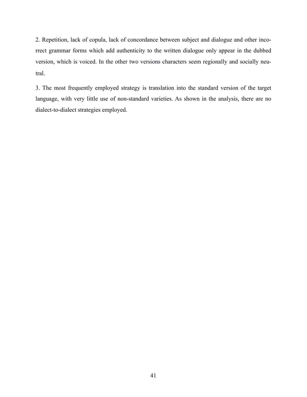2. Repetition, lack of copula, lack of concordance between subject and dialogue and other incorrect grammar forms which add authenticity to the written dialogue only appear in the dubbed version, which is voiced. In the other two versions characters seem regionally and socially neutral.

3. The most frequently employed strategy is translation into the standard version of the target language, with very little use of non-standard varieties. As shown in the analysis, there are no dialect-to-dialect strategies employed.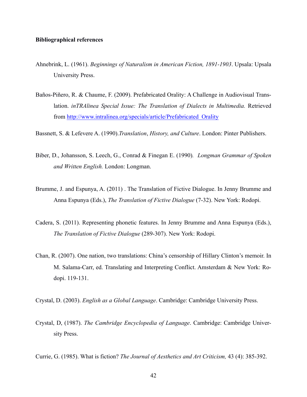### **Bibliographical references**

- Ahnebrink, L. (1961). *Beginnings of Naturalism in American Fiction, 1891-1903*. Upsala: Upsala University Press.
- Baños-Piñero, R. & Chaume, F. (2009). Prefabricated Orality: A Challenge in Audiovisual Translation. *inTRAlinea Special Issue: The Translation of Dialects in Multimedia*. Retrieved from [http://www.intralinea.org/specials/article/Prefabricated\\_Orality](http://www.intralinea.org/specials/article/Prefabricated_Orality)
- Bassnett, S. & Lefevere A. (1990).*Translation*, *History, and Culture*. London: Pinter Publishers.
- Biber, D., Johansson, S. Leech, G., Conrad & Finegan E. (1990)*. Longman Grammar of Spoken and Written English.* London: Longman.
- Brumme, J. and Espunya, A. (2011) . The Translation of Fictive Dialogue. In Jenny Brumme and Anna Espunya (Eds.), *The Translation of Fictive Dialogue* (7-32). New York: Rodopi.
- Cadera, S. (2011). Representing phonetic features. In Jenny Brumme and Anna Espunya (Eds.), *The Translation of Fictive Dialogue* (289-307). New York: Rodopi.
- Chan, R. (2007). One nation, two translations: China's censorship of Hillary Clinton's memoir. In M. Salama-Carr, ed. Translating and Interpreting Conflict. Amsterdam & New York: Rodopi. 119-131.
- Crystal, D. (2003). *English as a Global Language*. Cambridge: Cambridge University Press.
- Crystal, D, (1987). *The Cambridge Encyclopedia of Language*. Cambridge: Cambridge University Press.
- Currie, G. (1985). What is fiction? *The Journal of Aesthetics and Art Criticism,* 43 (4): 385-392.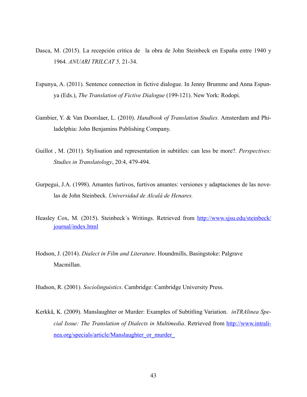- Dasca, M. (2015). La recepción critica de la obra de John Steinbeck en España entre 1940 y 1964*. ANUARI TRILCAT 5,* 21-34.
- Espunya, A. (2011). Sentence connection in fictive dialogue. In Jenny Brumme and Anna Espunya (Eds.), *The Translation of Fictive Dialogue* (199-121). New York: Rodopi.
- Gambier, Y. & Van Doorslaer, L. (2010). *Handbook of Translation Studies.* Amsterdam and Philadelphia: John Benjamins Publishing Company.
- Guillot , M. (2011)*.* Stylisation and representation in subtitles: can less be more?*. Perspectives: Studies in Translatology*, 20:4, 479-494.
- Gurpegui, J.A. (1998). Amantes furtivos, furtivos amantes: versiones y adaptaciones de las novelas de John Steinbeck. *Universidad de Alcalá de Henares.*
- Heasle[y Cox, M. \(2015\). Steinbeck´s Writings. Retrieved from http://www.sjsu.edu/steinbeck/](http://www.sjsu.edu/steinbeck/journal/index.html) journal/index.html
- Hodson, J. (2014). *Dialect in Film and Literature*. Houndmills, Basingstoke: Palgrave Macmillan.
- Hudson, R. (2001). *Sociolinguistics*. Cambridge: Cambridge University Press.
- Kerkkä, K. (2009). Manslaughter or Murder: Examples of Subtitling Variation. *inTRAlinea Special Issue: The Translation of Dialects in Multimedia*. Retrieved from http://www.intralinea.org/specials/article/Manslaughter\_or\_murder\_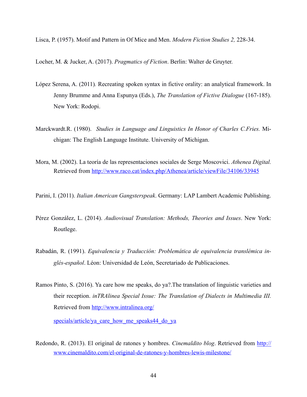Lisca, P. (1957). Motif and Pattern in Of Mice and Men. *Modern Fiction Studies 2,* 228-34.

Locher, M. & Jucker, A. (2017). *Pragmatics of Fiction*. Berlin: Walter de Gruyter.

- López Serena, A. (2011)*.* Recreating spoken syntax in fictive orality: an analytical framework. In Jenny Brumme and Anna Espunya (Eds.), *The Translation of Fictive Dialogue* (167-185). New York: Rodopi.
- Marckwardt.R. (1980). *Studies in Language and Linguistics In Honor of Charles C.Fries.* Michigan: The English Language Institute. University of Michigan.
- Mora, M. (2002). La teoría de las representaciones sociales de Serge Moscovici. *Athenea Digital.*  Retrieved from http://www.raco.cat/index.php/Athenea/article/viewFile/34106/33945
- Parini, I. (2011). *Italian American Gangsterspeak*. Germany: LAP Lambert Academic Publishing.
- Pérez González, L. (2014). *Audiovisual Translation: Methods, Theories and Issues*. New York: Routlege.
- Rabadán, R. (1991). *Equivalencia y Traducción: Problemática de equivalencia translémica inglés-español*. Léon: Universidad de León, Secretariado de Publicaciones.
- Ramos Pinto, S. (2016). Ya care how me speaks, do ya?.The translation of linguistic varieties and their reception. *inTRAlinea Special Issue: The Translation of Dialects in Multimedia III.*  Retrieved from [http://www.intralinea.org/](http://www.intralinea.org/specials/article/ya_care_how_me_speaks44_do_ya)

[specials/article/ya\\_care\\_how\\_me\\_speaks44\\_do\\_ya](http://www.intralinea.org/specials/article/ya_care_how_me_speaks44_do_ya)

Redondo, R. (2013). El original de ratones y hombres. *Cinemaldito blog*. Retrieved from http:// [www.cinemaldito.com/el-original-de-ratones-y-hombres-lewis-milestone/](http://www.cinemaldito.com/el-original-de-ratones-y-hombres-lewis-milestone/)